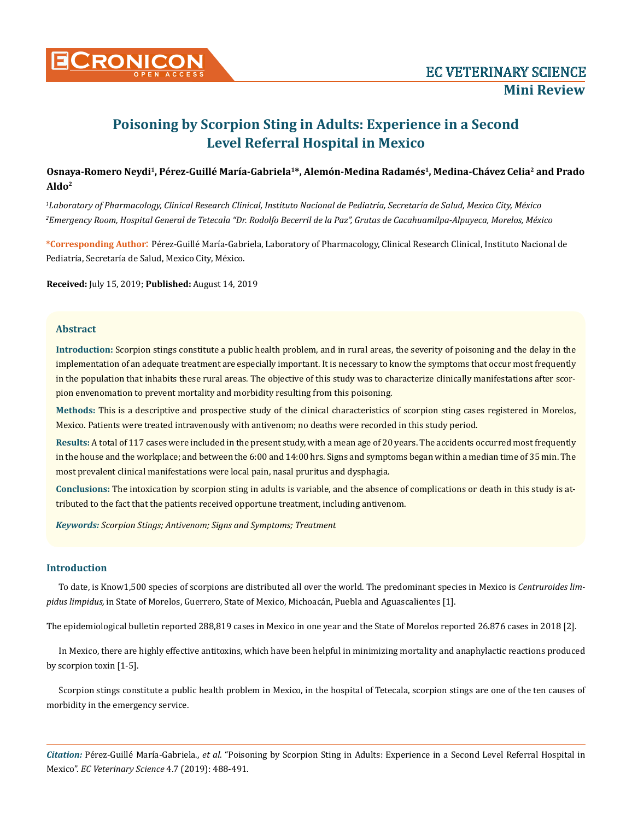

# **Poisoning by Scorpion Sting in Adults: Experience in a Second Level Referral Hospital in Mexico**

# Osnaya-Romero Neydi<sup>1</sup>, Pérez-Guillé María-Gabriela<sup>1\*</sup>, Alemón-Medina Radamés<sup>1</sup>, Medina-Chávez Celia<sup>2</sup> and Prado **Aldo2**

*1 Laboratory of Pharmacology, Clinical Research Clinical, Instituto Nacional de Pediatría, Secretaría de Salud, Mexico City, México 2 Emergency Room, Hospital General de Tetecala "Dr. Rodolfo Becerril de la Paz", Grutas de Cacahuamilpa-Alpuyeca, Morelos, México*

**\*Corresponding Author**: Pérez-Guillé María-Gabriela, Laboratory of Pharmacology, Clinical Research Clinical, Instituto Nacional de Pediatría, Secretaría de Salud, Mexico City, México.

**Received:** July 15, 2019; **Published:** August 14, 2019

## **Abstract**

**Introduction:** Scorpion stings constitute a public health problem, and in rural areas, the severity of poisoning and the delay in the implementation of an adequate treatment are especially important. It is necessary to know the symptoms that occur most frequently in the population that inhabits these rural areas. The objective of this study was to characterize clinically manifestations after scorpion envenomation to prevent mortality and morbidity resulting from this poisoning.

**Methods:** This is a descriptive and prospective study of the clinical characteristics of scorpion sting cases registered in Morelos, Mexico. Patients were treated intravenously with antivenom; no deaths were recorded in this study period.

**Results:** A total of 117 cases were included in the present study, with a mean age of 20 years. The accidents occurred most frequently in the house and the workplace; and between the 6:00 and 14:00 hrs. Signs and symptoms began within a median time of 35 min. The most prevalent clinical manifestations were local pain, nasal pruritus and dysphagia.

**Conclusions:** The intoxication by scorpion sting in adults is variable, and the absence of complications or death in this study is attributed to the fact that the patients received opportune treatment, including antivenom.

*Keywords: Scorpion Stings; Antivenom; Signs and Symptoms; Treatment*

## **Introduction**

To date, is Know1,500 species of scorpions are distributed all over the world. The predominant species in Mexico is *Centruroides limpidus limpidus,* in State of Morelos, Guerrero, State of Mexico, Michoacán, Puebla and Aguascalientes [1].

The epidemiological bulletin reported 288,819 cases in Mexico in one year and the State of Morelos reported 26.876 cases in 2018 [2].

In Mexico, there are highly effective antitoxins, which have been helpful in minimizing mortality and anaphylactic reactions produced by scorpion toxin [1-5].

Scorpion stings constitute a public health problem in Mexico, in the hospital of Tetecala, scorpion stings are one of the ten causes of morbidity in the emergency service.

*Citation:* Pérez-Guillé María-Gabriela., *et al*. "Poisoning by Scorpion Sting in Adults: Experience in a Second Level Referral Hospital in Mexico". *EC Veterinary Science* 4.7 (2019): 488-491.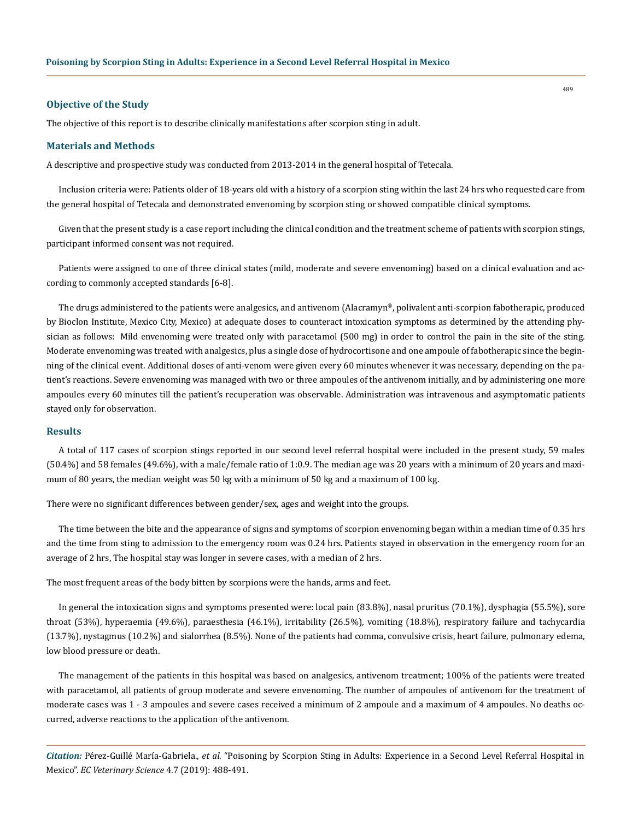#### **Objective of the Study**

The objective of this report is to describe clinically manifestations after scorpion sting in adult.

#### **Materials and Methods**

A descriptive and prospective study was conducted from 2013-2014 in the general hospital of Tetecala.

Inclusion criteria were: Patients older of 18-years old with a history of a scorpion sting within the last 24 hrs who requested care from the general hospital of Tetecala and demonstrated envenoming by scorpion sting or showed compatible clinical symptoms.

Given that the present study is a case report including the clinical condition and the treatment scheme of patients with scorpion stings, participant informed consent was not required.

Patients were assigned to one of three clinical states (mild, moderate and severe envenoming) based on a clinical evaluation and according to commonly accepted standards [6-8].

The drugs administered to the patients were analgesics, and antivenom (Alacramyn®, polivalent anti-scorpion fabotherapic, produced by Bioclon Institute, Mexico City, Mexico) at adequate doses to counteract intoxication symptoms as determined by the attending physician as follows: Mild envenoming were treated only with paracetamol (500 mg) in order to control the pain in the site of the sting. Moderate envenoming was treated with analgesics, plus a single dose of hydrocortisone and one ampoule of fabotherapic since the beginning of the clinical event. Additional doses of anti-venom were given every 60 minutes whenever it was necessary, depending on the patient's reactions. Severe envenoming was managed with two or three ampoules of the antivenom initially, and by administering one more ampoules every 60 minutes till the patient's recuperation was observable. Administration was intravenous and asymptomatic patients stayed only for observation.

#### **Results**

A total of 117 cases of scorpion stings reported in our second level referral hospital were included in the present study, 59 males (50.4%) and 58 females (49.6%), with a male/female ratio of 1:0.9. The median age was 20 years with a minimum of 20 years and maximum of 80 years, the median weight was 50 kg with a minimum of 50 kg and a maximum of 100 kg.

There were no significant differences between gender/sex, ages and weight into the groups.

The time between the bite and the appearance of signs and symptoms of scorpion envenoming began within a median time of 0.35 hrs and the time from sting to admission to the emergency room was 0.24 hrs. Patients stayed in observation in the emergency room for an average of 2 hrs, The hospital stay was longer in severe cases, with a median of 2 hrs.

The most frequent areas of the body bitten by scorpions were the hands, arms and feet.

In general the intoxication signs and symptoms presented were: local pain (83.8%), nasal pruritus (70.1%), dysphagia (55.5%), sore throat (53%), hyperaemia (49.6%), paraesthesia (46.1%), irritability (26.5%), vomiting (18.8%), respiratory failure and tachycardia (13.7%), nystagmus (10.2%) and sialorrhea (8.5%). None of the patients had comma, convulsive crisis, heart failure, pulmonary edema, low blood pressure or death.

The management of the patients in this hospital was based on analgesics, antivenom treatment; 100% of the patients were treated with paracetamol, all patients of group moderate and severe envenoming. The number of ampoules of antivenom for the treatment of moderate cases was 1 - 3 ampoules and severe cases received a minimum of 2 ampoule and a maximum of 4 ampoules. No deaths occurred, adverse reactions to the application of the antivenom.

*Citation:* Pérez-Guillé María-Gabriela., *et al*. "Poisoning by Scorpion Sting in Adults: Experience in a Second Level Referral Hospital in Mexico". *EC Veterinary Science* 4.7 (2019): 488-491.

489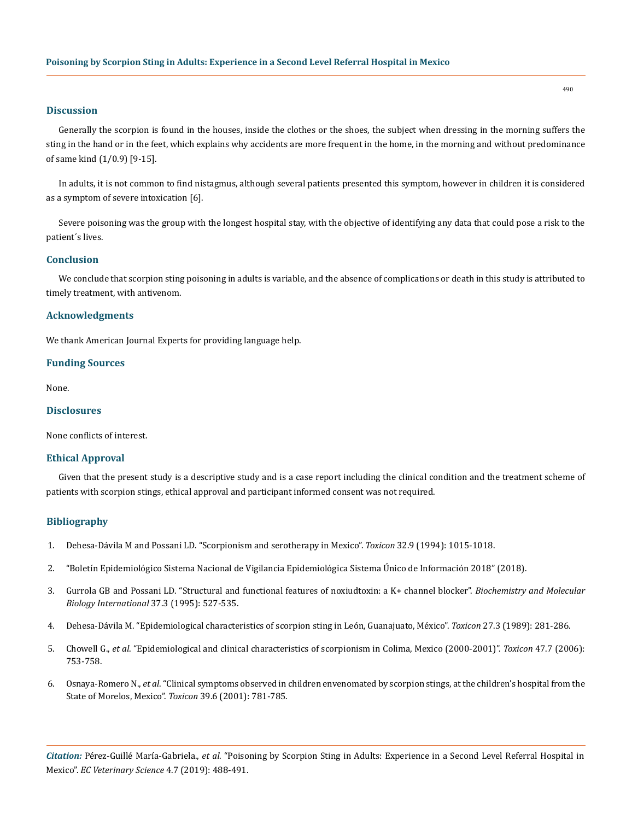## **Discussion**

Generally the scorpion is found in the houses, inside the clothes or the shoes, the subject when dressing in the morning suffers the sting in the hand or in the feet, which explains why accidents are more frequent in the home, in the morning and without predominance of same kind (1/0.9) [9-15].

In adults, it is not common to find nistagmus, although several patients presented this symptom, however in children it is considered as a symptom of severe intoxication [6].

Severe poisoning was the group with the longest hospital stay, with the objective of identifying any data that could pose a risk to the patient´s lives.

## **Conclusion**

We conclude that scorpion sting poisoning in adults is variable, and the absence of complications or death in this study is attributed to timely treatment, with antivenom.

#### **Acknowledgments**

We thank American Journal Experts for providing language help.

#### **Funding Sources**

None.

# **Disclosures**

None conflicts of interest.

# **Ethical Approval**

Given that the present study is a descriptive study and is a case report including the clinical condition and the treatment scheme of patients with scorpion stings, ethical approval and participant informed consent was not required.

#### **Bibliography**

- 1. [Dehesa-Dávila M and Possani LD. "Scorpionism and serotherapy in Mexico".](https://www.ncbi.nlm.nih.gov/pubmed/7801335) *Toxicon* 32.9 (1994): 1015-1018.
- 2. ["Boletín Epidemiológico Sistema Nacional de Vigilancia Epidemiológica Sistema Único de Información 2018" \(2018\).](https://www.gob.mx/salud/acciones-y-programas/boletinepidemiologico-sistema-nacional-de-vigilancia-epidemiologica-sistema-unico-de-informacion-2018)
- 3. Gurrola GB and Possani LD. "Structural and functional features of noxiudtoxin: a K+ channel blocker". *Biochemistry and Molecular Biology International* 37.3 (1995): 527-535.
- 4. [Dehesa-Dávila M. "Epidemiological characteristics of scorpion sting in León, Guanajuato, México".](https://www.ncbi.nlm.nih.gov/pubmed/2728020) *Toxicon* 27.3 (1989): 281-286.
- 5. Chowell G., *et al*[. "Epidemiological and clinical characteristics of scorpionism in Colima, Mexico \(2000-2001\)".](https://www.ncbi.nlm.nih.gov/pubmed/16574179) *Toxicon* 47.7 (2006): [753-758.](https://www.ncbi.nlm.nih.gov/pubmed/16574179)
- 6. Osnaya-Romero N., *et al*[. "Clinical symptoms observed in children envenomated by scorpion stings, at the children's hospital from the](https://www.ncbi.nlm.nih.gov/pubmed/11137536)  [State of Morelos, Mexico".](https://www.ncbi.nlm.nih.gov/pubmed/11137536) *Toxicon* 39.6 (2001): 781-785.

*Citation:* Pérez-Guillé María-Gabriela., *et al*. "Poisoning by Scorpion Sting in Adults: Experience in a Second Level Referral Hospital in Mexico". *EC Veterinary Science* 4.7 (2019): 488-491.

490